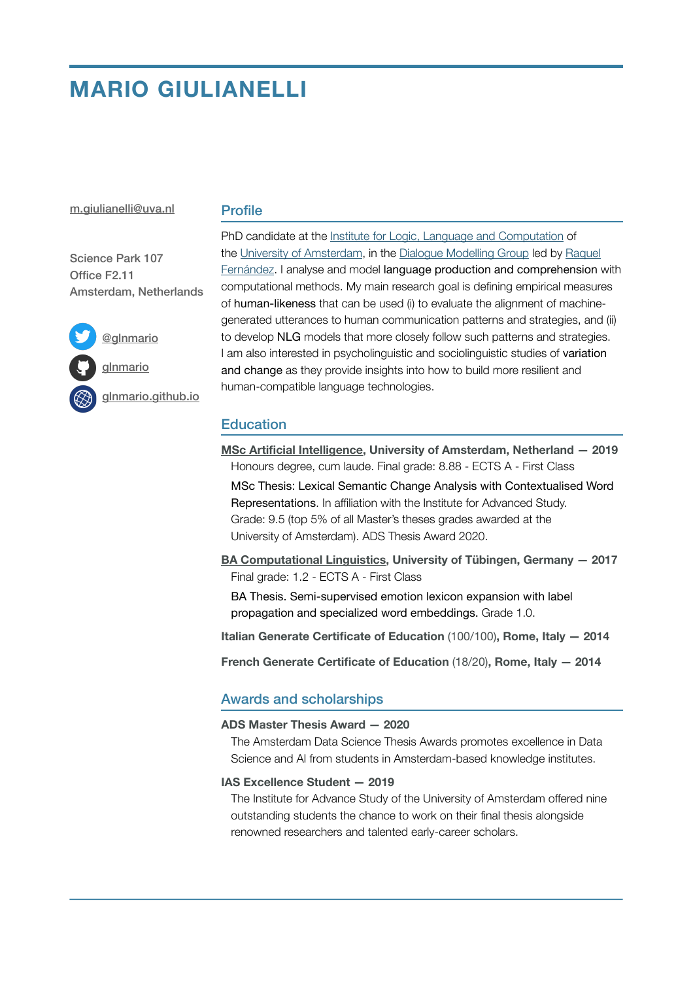# **MARIO GIULIANELLI**

#### [m.giulianelli@uva.nl](mailto:m.giulianelli@uva.nl)

## **Profile**

Science Park 107 Office F2.11 Amsterdam, Netherlands



[@glnmario](https://twitter.com/glnmario)

[glnmario](https://github.com/glnmario)

[glnmario.github.io](https://glnmario.github.io)

PhD candidate at the [Institute for Logic, Language and Computation](https://www.illc.uva.nl/) of the [University of Amsterdam](https://www.uva.nl/en), in the [Dialogue Modelling Group](https://dmg-illc.github.io/dmg/) led by [Raquel](https://staff.fnwi.uva.nl/r.fernandezrovira/)  [Fernández](https://staff.fnwi.uva.nl/r.fernandezrovira/). I analyse and model language production and comprehension with computational methods. My main research goal is defining empirical measures of human-likeness that can be used (i) to evaluate the alignment of machinegenerated utterances to human communication patterns and strategies, and (ii) to develop NLG models that more closely follow such patterns and strategies. I am also interested in psycholinguistic and sociolinguistic studies of variation and change as they provide insights into how to build more resilient and human-compatible language technologies.

# **Education**

**MSc Artificial Intelligence, University of Amsterdam, Netherland — 2019**  Honours degree, cum laude. Final grade: 8.88 - ECTS A - First Class MSc Thesis: Lexical Semantic Change Analysis with Contextualised Word Representations. In affiliation with the Institute for Advanced Study. Grade: 9.5 (top 5% of all Master's theses grades awarded at the University of Amsterdam). ADS Thesis Award 2020.

**BA Computational Linguistics, University of Tübingen, Germany — 2017**  Final grade: 1.2 - ECTS A - First Class

BA Thesis. Semi-supervised emotion lexicon expansion with label propagation and specialized word embeddings. Grade 1.0.

**Italian Generate Certificate of Education** (100/100)**, Rome, Italy — 2014** 

**French Generate Certificate of Education** (18/20)**, Rome, Italy — 2014** 

## Awards and scholarships

#### **ADS Master Thesis Award — 2020**

The Amsterdam Data Science Thesis Awards promotes excellence in Data Science and AI from students in Amsterdam-based knowledge institutes.

## **IAS Excellence Student — 2019**

The Institute for Advance Study of the University of Amsterdam offered nine outstanding students the chance to work on their final thesis alongside renowned researchers and talented early-career scholars.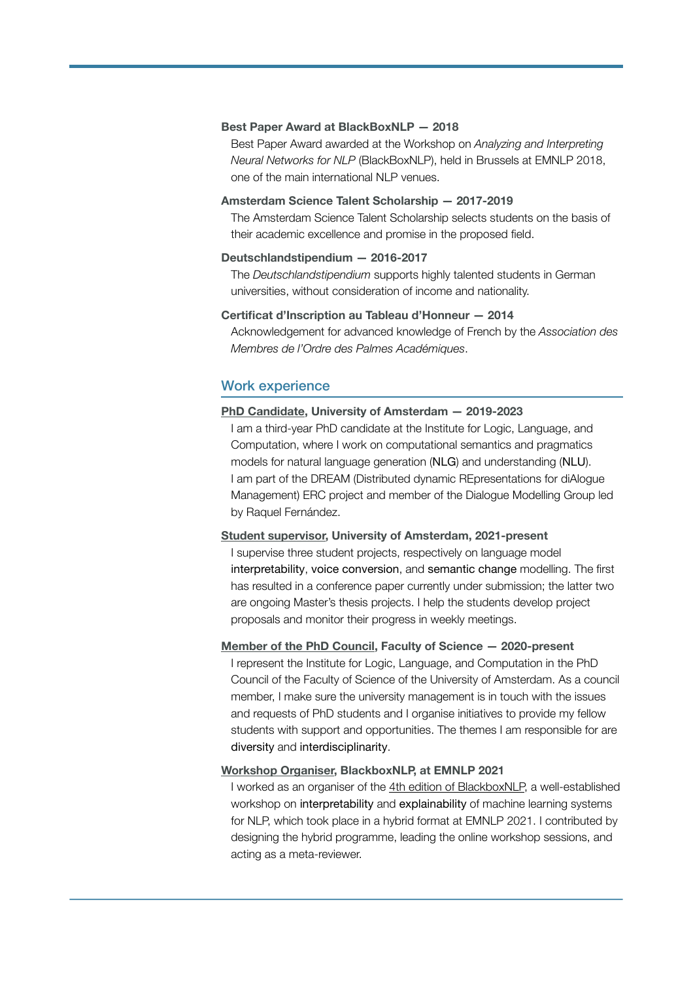#### **Best Paper Award at BlackBoxNLP — 2018**

Best Paper Award awarded at the Workshop on *Analyzing and Interpreting Neural Networks for NLP* (BlackBoxNLP), held in Brussels at EMNLP 2018, one of the main international NLP venues.

## **Amsterdam Science Talent Scholarship — 2017-2019**

The Amsterdam Science Talent Scholarship selects students on the basis of their academic excellence and promise in the proposed field.

#### **Deutschlandstipendium — 2016-2017**

The *Deutschlandstipendium* supports highly talented students in German universities, without consideration of income and nationality.

## **Certificat d'Inscription au Tableau d'Honneur — 2014**

Acknowledgement for advanced knowledge of French by the *Association des Membres de l'Ordre des Palmes Académiques*.

## Work experience

#### **PhD Candidate, University of Amsterdam — 2019-2023**

I am a third-year PhD candidate at the Institute for Logic, Language, and Computation, where I work on computational semantics and pragmatics models for natural language generation (NLG) and understanding (NLU). I am part of the DREAM (Distributed dynamic REpresentations for diAlogue Management) ERC project and member of the Dialogue Modelling Group led by Raquel Fernández.

#### **Student supervisor, University of Amsterdam, 2021-present**

I supervise three student projects, respectively on language model interpretability, voice conversion, and semantic change modelling. The first has resulted in a conference paper currently under submission; the latter two are ongoing Master's thesis projects. I help the students develop project proposals and monitor their progress in weekly meetings.

## **Member of the PhD Council, Faculty of Science — 2020-present**

I represent the Institute for Logic, Language, and Computation in the PhD Council of the Faculty of Science of the University of Amsterdam. As a council member, I make sure the university management is in touch with the issues and requests of PhD students and I organise initiatives to provide my fellow students with support and opportunities. The themes I am responsible for are diversity and interdisciplinarity.

#### **Workshop Organiser, BlackboxNLP, at EMNLP 2021**

I worked as an organiser of the [4th edition of BlackboxNLP,](https://blackboxnlp.github.io/2021/) a well-established workshop on interpretability and explainability of machine learning systems for NLP, which took place in a hybrid format at EMNLP 2021. I contributed by designing the hybrid programme, leading the online workshop sessions, and acting as a meta-reviewer.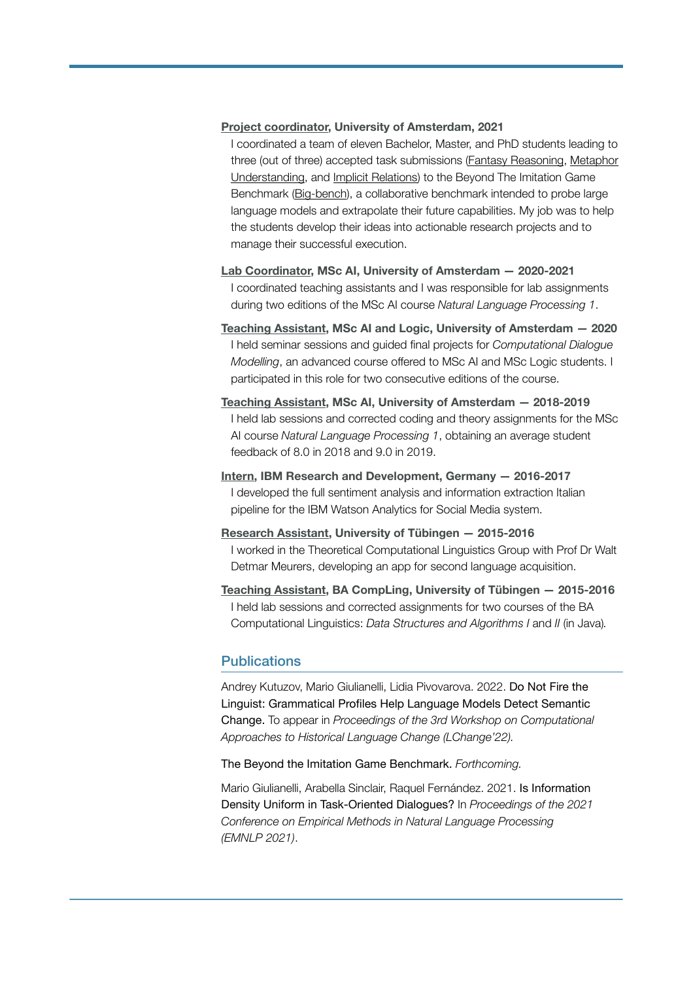#### **Project coordinator, University of Amsterdam, 2021**

I coordinated a team of eleven Bachelor, Master, and PhD students leading to three (out of three) accepted task submissions [\(Fantasy Reasoning](https://github.com/google/BIG-bench/tree/main/bigbench/benchmark_tasks/fantasy_reasoning), [Metaphor](https://github.com/google/BIG-bench/tree/main/bigbench/benchmark_tasks/metaphor_understanding)  [Understanding,](https://github.com/google/BIG-bench/tree/main/bigbench/benchmark_tasks/metaphor_understanding) and [Implicit Relations](https://github.com/google/BIG-bench/tree/main/bigbench/benchmark_tasks/implicit_relations)) to the Beyond The Imitation Game Benchmark [\(Big-bench\)](https://github.com/google/BIG-bench), a collaborative benchmark intended to probe large language models and extrapolate their future capabilities. My job was to help the students develop their ideas into actionable research projects and to manage their successful execution.

- **Lab Coordinator, MSc AI, University of Amsterdam 2020-2021**  I coordinated teaching assistants and I was responsible for lab assignments during two editions of the MSc AI course *Natural Language Processing 1*.
- **Teaching Assistant, MSc AI and Logic, University of Amsterdam 2020**  I held seminar sessions and guided final projects for *Computational Dialogue Modelling*, an advanced course offered to MSc AI and MSc Logic students. I participated in this role for two consecutive editions of the course.
- **Teaching Assistant, MSc AI, University of Amsterdam 2018-2019**  I held lab sessions and corrected coding and theory assignments for the MSc AI course *Natural Language Processing 1*, obtaining an average student feedback of 8.0 in 2018 and 9.0 in 2019.
- **Intern, IBM Research and Development, Germany 2016-2017**  I developed the full sentiment analysis and information extraction Italian pipeline for the IBM Watson Analytics for Social Media system.
- **Research Assistant, University of Tübingen 2015-2016**  I worked in the Theoretical Computational Linguistics Group with Prof Dr Walt Detmar Meurers, developing an app for second language acquisition.
- **Teaching Assistant, BA CompLing, University of Tübingen 2015-2016**  I held lab sessions and corrected assignments for two courses of the BA Computational Linguistics: *Data Structures and Algorithms I* and *II* (in Java)*.*

## Publications

Andrey Kutuzov, Mario Giulianelli, Lidia Pivovarova. 2022. Do Not Fire the Linguist: Grammatical Profiles Help Language Models Detect Semantic Change. To appear in *Proceedings of the 3rd Workshop on Computational Approaches to Historical Language Change (LChange'22).*

The Beyond the Imitation Game Benchmark. *Forthcoming.*

Mario Giulianelli, Arabella Sinclair, Raquel Fernández. 2021. Is Information Density Uniform in Task-Oriented Dialogues? In *Proceedings of the 2021 Conference on Empirical Methods in Natural Language Processing (EMNLP 2021)*.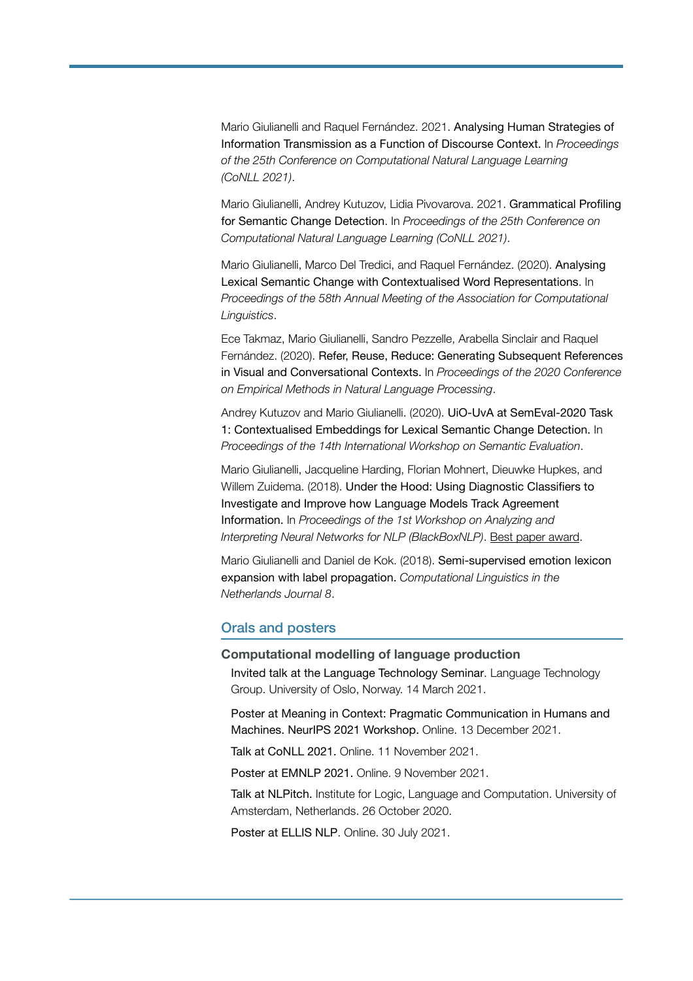Mario Giulianelli and Raquel Fernández. 2021. Analysing Human Strategies of Information Transmission as a Function of Discourse Context. In *Proceedings of the 25th Conference on Computational Natural Language Learning (CoNLL 2021)*.

Mario Giulianelli, Andrey Kutuzov, Lidia Pivovarova. 2021. Grammatical Profiling for Semantic Change Detection. In *Proceedings of the 25th Conference on Computational Natural Language Learning (CoNLL 2021)*.

Mario Giulianelli, Marco Del Tredici, and Raquel Fernández. (2020). Analysing Lexical Semantic Change with Contextualised Word Representations. In *Proceedings of the 58th Annual Meeting of the Association for Computational Linguistics*.

Ece Takmaz, Mario Giulianelli, Sandro Pezzelle, Arabella Sinclair and Raquel Fernández. (2020). Refer, Reuse, Reduce: Generating Subsequent References in Visual and Conversational Contexts. In *Proceedings of the 2020 Conference on Empirical Methods in Natural Language Processing*.

Andrey Kutuzov and Mario Giulianelli. (2020). UiO-UvA at SemEval-2020 Task 1: Contextualised Embeddings for Lexical Semantic Change Detection. In *Proceedings of the 14th International Workshop on Semantic Evaluation*.

Mario Giulianelli, Jacqueline Harding, Florian Mohnert, Dieuwke Hupkes, and Willem Zuidema. (2018). Under the Hood: Using Diagnostic Classifiers to Investigate and Improve how Language Models Track Agreement Information. In *Proceedings of the 1st Workshop on Analyzing and Interpreting Neural Networks for NLP (BlackBoxNLP)*. Best paper award.

Mario Giulianelli and Daniel de Kok. (2018). Semi-supervised emotion lexicon expansion with label propagation. *Computational Linguistics in the Netherlands Journal 8*.

## Orals and posters

## **Computational modelling of language production**

Invited talk at the Language Technology Seminar. Language Technology Group. University of Oslo, Norway. 14 March 2021.

Poster at Meaning in Context: Pragmatic Communication in Humans and Machines. NeurIPS 2021 Workshop. Online. 13 December 2021.

Talk at CoNLL 2021. Online. 11 November 2021.

Poster at EMNLP 2021. Online. 9 November 2021.

Talk at NLPitch. Institute for Logic, Language and Computation. University of Amsterdam, Netherlands. 26 October 2020.

Poster at ELLIS NLP. Online. 30 July 2021.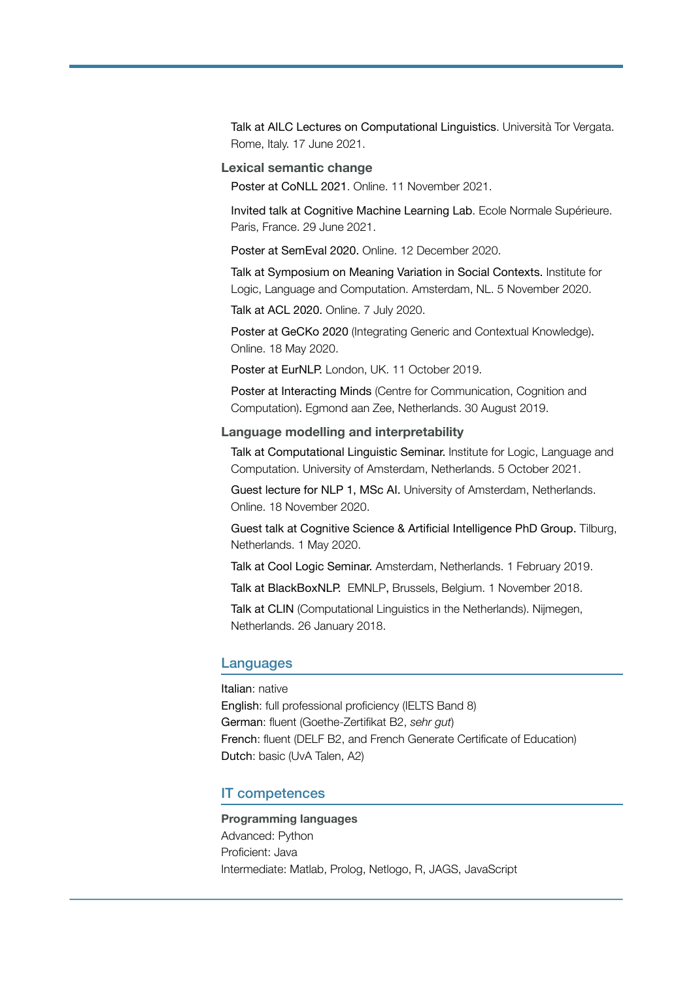Talk at AILC Lectures on Computational Linguistics. Università Tor Vergata. Rome, Italy. 17 June 2021.

## **Lexical semantic change**

Poster at CoNLL 2021. Online. 11 November 2021.

Invited talk at Cognitive Machine Learning Lab. Ecole Normale Supérieure. Paris, France. 29 June 2021.

Poster at SemEval 2020. Online. 12 December 2020.

Talk at Symposium on Meaning Variation in Social Contexts. Institute for Logic, Language and Computation. Amsterdam, NL. 5 November 2020.

Talk at ACL 2020. Online. 7 July 2020.

Poster at GeCKo 2020 (Integrating Generic and Contextual Knowledge). Online. 18 May 2020.

Poster at EurNLP. London, UK. 11 October 2019.

Poster at Interacting Minds (Centre for Communication, Cognition and Computation). Egmond aan Zee, Netherlands. 30 August 2019.

## **Language modelling and interpretability**

Talk at Computational Linguistic Seminar. Institute for Logic, Language and Computation. University of Amsterdam, Netherlands. 5 October 2021.

Guest lecture for NLP 1, MSc AI. University of Amsterdam, Netherlands. Online. 18 November 2020.

Guest talk at Cognitive Science & Artificial Intelligence PhD Group. Tilburg, Netherlands. 1 May 2020.

Talk at Cool Logic Seminar. Amsterdam, Netherlands. 1 February 2019.

Talk at BlackBoxNLP. EMNLP, Brussels, Belgium. 1 November 2018.

Talk at CLIN (Computational Linguistics in the Netherlands). Nijmegen, Netherlands. 26 January 2018.

#### Languages

Italian: native English: full professional proficiency (IELTS Band 8) German: fluent (Goethe-Zertifikat B2, *sehr gut*) French: fluent (DELF B2, and French Generate Certificate of Education) Dutch: basic (UvA Talen, A2)

## IT competences

**Programming languages**  Advanced: Python Proficient: Java Intermediate: Matlab, Prolog, Netlogo, R, JAGS, JavaScript